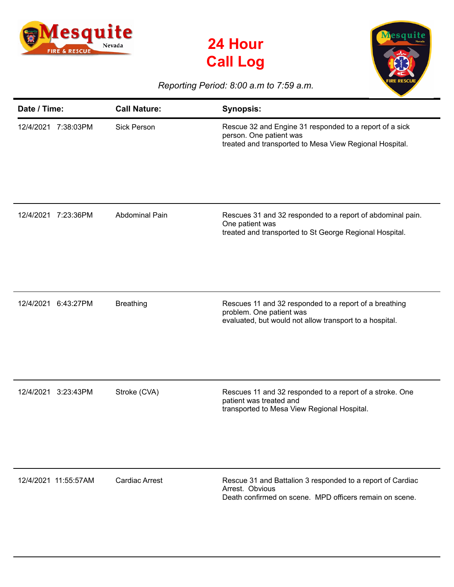





## *Reporting Period: 8:00 a.m to 7:59 a.m.*

| Date / Time:           | <b>Call Nature:</b>   | <b>Synopsis:</b>                                                                                                                              |
|------------------------|-----------------------|-----------------------------------------------------------------------------------------------------------------------------------------------|
| 12/4/2021 7:38:03PM    | <b>Sick Person</b>    | Rescue 32 and Engine 31 responded to a report of a sick<br>person. One patient was<br>treated and transported to Mesa View Regional Hospital. |
| 12/4/2021<br>7:23:36PM | <b>Abdominal Pain</b> | Rescues 31 and 32 responded to a report of abdominal pain.<br>One patient was<br>treated and transported to St George Regional Hospital.      |
| 12/4/2021<br>6:43:27PM | <b>Breathing</b>      | Rescues 11 and 32 responded to a report of a breathing<br>problem. One patient was<br>evaluated, but would not allow transport to a hospital. |
| 12/4/2021<br>3:23:43PM | Stroke (CVA)          | Rescues 11 and 32 responded to a report of a stroke. One<br>patient was treated and<br>transported to Mesa View Regional Hospital.            |
| 12/4/2021 11:55:57AM   | <b>Cardiac Arrest</b> | Rescue 31 and Battalion 3 responded to a report of Cardiac<br>Arrest. Obvious<br>Death confirmed on scene. MPD officers remain on scene.      |